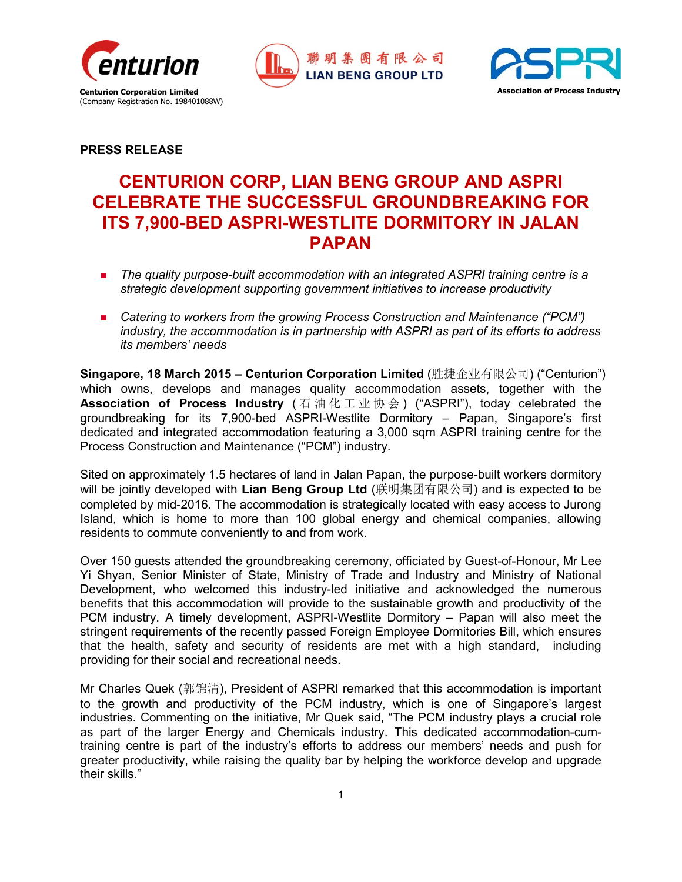





## **PRESS RELEASE**

# **CENTURION CORP, LIAN BENG GROUP AND ASPRI CELEBRATE THE SUCCESSFUL GROUNDBREAKING FOR ITS 7,900-BED ASPRI-WESTLITE DORMITORY IN JALAN PAPAN**

- **The quality purpose-built accommodation with an integrated ASPRI training centre is a** *strategic development supporting government initiatives to increase productivity*
- *Catering to workers from the growing Process Construction and Maintenance ("PCM") industry, the accommodation is in partnership with ASPRI as part of its efforts to address its members' needs*

**Singapore, 18 March 2015 – Centurion Corporation Limited** (胜捷企业有限公司) ("Centurion") which owns, develops and manages quality accommodation assets, together with the **Association of Process Industry** (石油化工业协会) ("ASPRI"), today celebrated the groundbreaking for its 7,900-bed ASPRI-Westlite Dormitory – Papan, Singapore's first dedicated and integrated accommodation featuring a 3,000 sqm ASPRI training centre for the Process Construction and Maintenance ("PCM") industry.

Sited on approximately 1.5 hectares of land in Jalan Papan, the purpose-built workers dormitory will be jointly developed with **Lian Beng Group Ltd** (联明集团有限公司) and is expected to be completed by mid-2016. The accommodation is strategically located with easy access to Jurong Island, which is home to more than 100 global energy and chemical companies, allowing residents to commute conveniently to and from work.

Over 150 guests attended the groundbreaking ceremony, officiated by Guest-of-Honour, Mr Lee Yi Shyan, Senior Minister of State, Ministry of Trade and Industry and Ministry of National Development, who welcomed this industry-led initiative and acknowledged the numerous benefits that this accommodation will provide to the sustainable growth and productivity of the PCM industry. A timely development, ASPRI-Westlite Dormitory – Papan will also meet the stringent requirements of the recently passed Foreign Employee Dormitories Bill, which ensures that the health, safety and security of residents are met with a high standard, including providing for their social and recreational needs.

Mr Charles Quek (郭锦清), President of ASPRI remarked that this accommodation is important to the growth and productivity of the PCM industry, which is one of Singapore's largest industries. Commenting on the initiative, Mr Quek said, "The PCM industry plays a crucial role as part of the larger Energy and Chemicals industry. This dedicated accommodation-cumtraining centre is part of the industry's efforts to address our members' needs and push for greater productivity, while raising the quality bar by helping the workforce develop and upgrade their skills."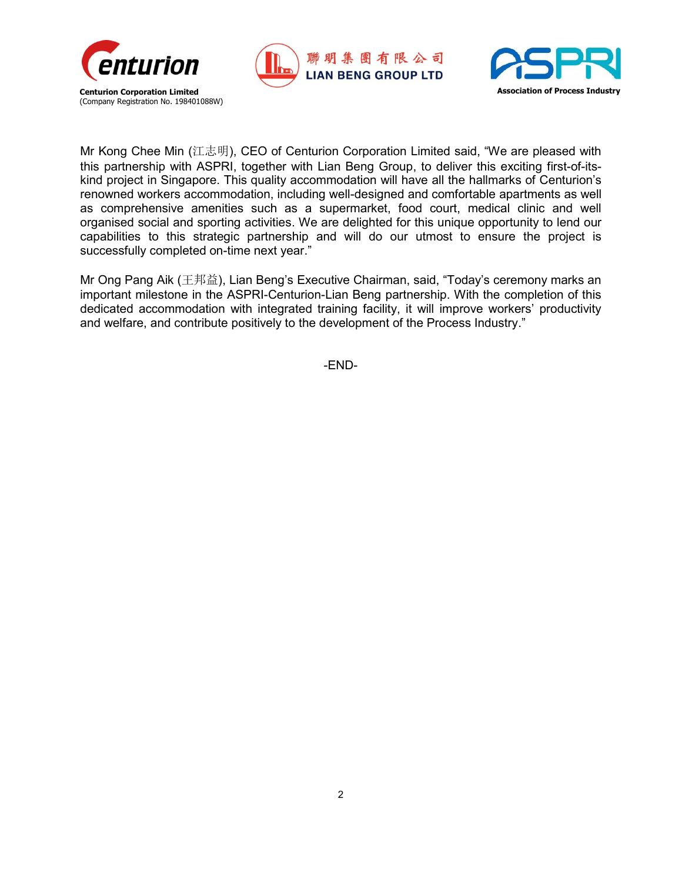





Mr Kong Chee Min (江志明), CEO of Centurion Corporation Limited said, "We are pleased with this partnership with ASPRI, together with Lian Beng Group, to deliver this exciting first-of-itskind project in Singapore. This quality accommodation will have all the hallmarks of Centurion's renowned workers accommodation, including well-designed and comfortable apartments as well as comprehensive amenities such as a supermarket, food court, medical clinic and well organised social and sporting activities. We are delighted for this unique opportunity to lend our capabilities to this strategic partnership and will do our utmost to ensure the project is successfully completed on-time next year."

Mr Ong Pang Aik (王邦益), Lian Beng's Executive Chairman, said, "Today's ceremony marks an important milestone in the ASPRI-Centurion-Lian Beng partnership. With the completion of this dedicated accommodation with integrated training facility, it will improve workers' productivity and welfare, and contribute positively to the development of the Process Industry."

-END-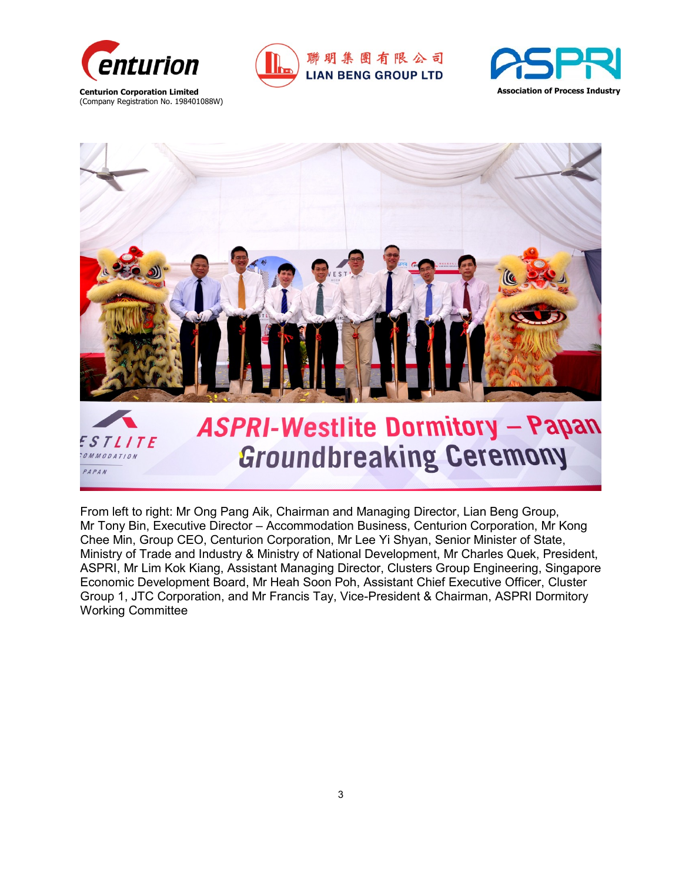

PAPAN







#### From left to right: Mr Ong Pang Aik, Chairman and Managing Director, Lian Beng Group, Mr Tony Bin, Executive Director – Accommodation Business, Centurion Corporation, Mr Kong Chee Min, Group CEO, Centurion Corporation, Mr Lee Yi Shyan, Senior Minister of State, Ministry of Trade and Industry & Ministry of National Development, Mr Charles Quek, President, ASPRI, Mr Lim Kok Kiang, Assistant Managing Director, Clusters Group Engineering, Singapore Economic Development Board, Mr Heah Soon Poh, Assistant Chief Executive Officer, Cluster Group 1, JTC Corporation, and Mr Francis Tay, Vice-President & Chairman, ASPRI Dormitory Working Committee

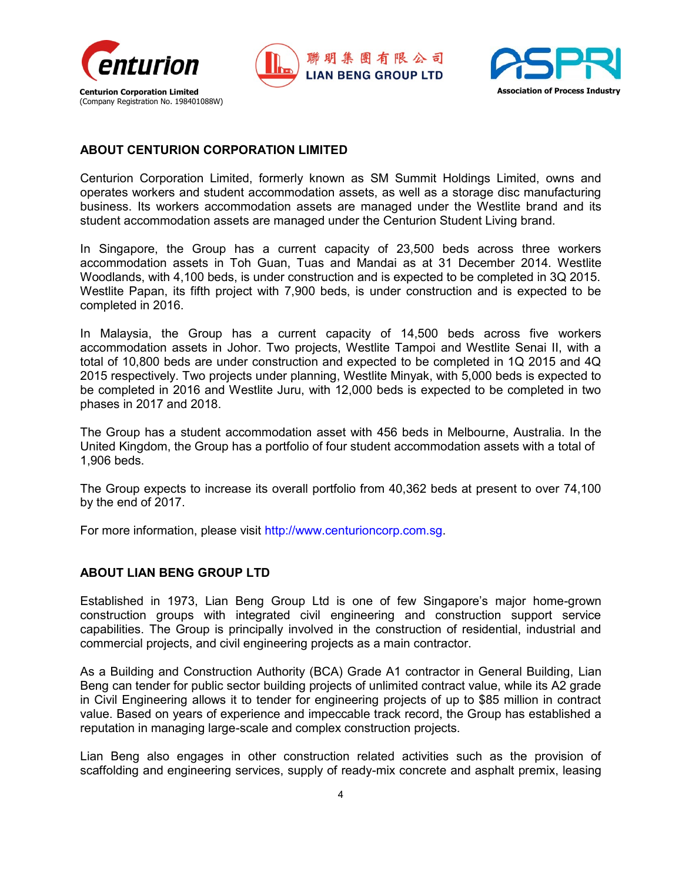





#### **ABOUT CENTURION CORPORATION LIMITED**

Centurion Corporation Limited, formerly known as SM Summit Holdings Limited, owns and operates workers and student accommodation assets, as well as a storage disc manufacturing business. Its workers accommodation assets are managed under the Westlite brand and its student accommodation assets are managed under the Centurion Student Living brand.

In Singapore, the Group has a current capacity of 23,500 beds across three workers accommodation assets in Toh Guan, Tuas and Mandai as at 31 December 2014. Westlite Woodlands, with 4,100 beds, is under construction and is expected to be completed in 3Q 2015. Westlite Papan, its fifth project with 7,900 beds, is under construction and is expected to be completed in 2016.

In Malaysia, the Group has a current capacity of 14,500 beds across five workers accommodation assets in Johor. Two projects, Westlite Tampoi and Westlite Senai II, with a total of 10,800 beds are under construction and expected to be completed in 1Q 2015 and 4Q 2015 respectively. Two projects under planning, Westlite Minyak, with 5,000 beds is expected to be completed in 2016 and Westlite Juru, with 12,000 beds is expected to be completed in two phases in 2017 and 2018.

The Group has a student accommodation asset with 456 beds in Melbourne, Australia. In the United Kingdom, the Group has a portfolio of four student accommodation assets with a total of 1,906 beds.

The Group expects to increase its overall portfolio from 40,362 beds at present to over 74,100 by the end of 2017.

For more information, please visit http://www.centurioncorp.com.sg.

## **ABOUT LIAN BENG GROUP LTD**

Established in 1973, Lian Beng Group Ltd is one of few Singapore's major home-grown construction groups with integrated civil engineering and construction support service capabilities. The Group is principally involved in the construction of residential, industrial and commercial projects, and civil engineering projects as a main contractor.

As a Building and Construction Authority (BCA) Grade A1 contractor in General Building, Lian Beng can tender for public sector building projects of unlimited contract value, while its A2 grade in Civil Engineering allows it to tender for engineering projects of up to \$85 million in contract value. Based on years of experience and impeccable track record, the Group has established a reputation in managing large-scale and complex construction projects.

Lian Beng also engages in other construction related activities such as the provision of scaffolding and engineering services, supply of ready-mix concrete and asphalt premix, leasing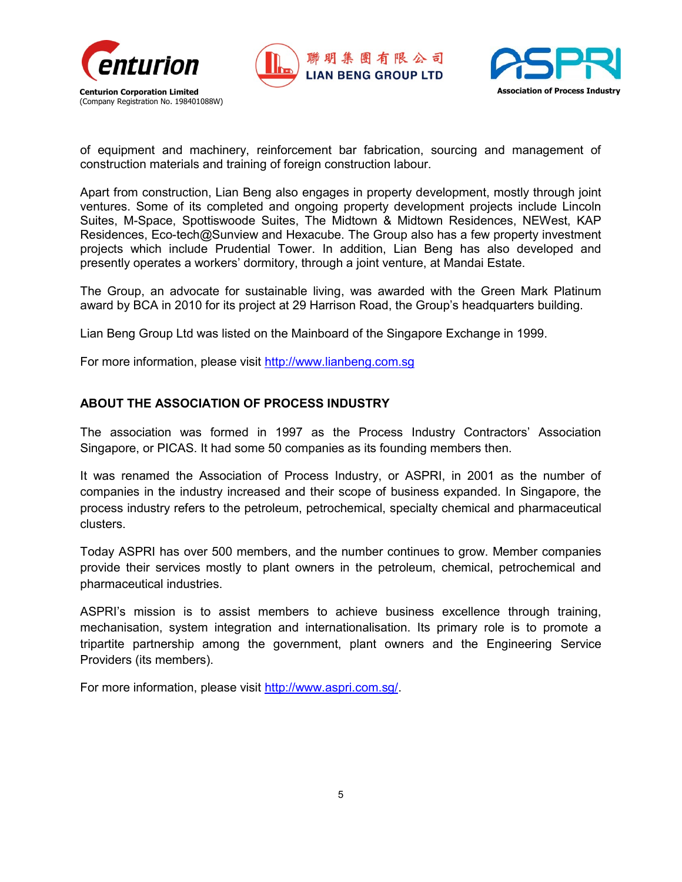





of equipment and machinery, reinforcement bar fabrication, sourcing and management of construction materials and training of foreign construction labour.

Apart from construction, Lian Beng also engages in property development, mostly through joint ventures. Some of its completed and ongoing property development projects include Lincoln Suites, M-Space, Spottiswoode Suites, The Midtown & Midtown Residences, NEWest, KAP Residences, Eco-tech@Sunview and Hexacube. The Group also has a few property investment projects which include Prudential Tower. In addition, Lian Beng has also developed and presently operates a workers' dormitory, through a joint venture, at Mandai Estate.

The Group, an advocate for sustainable living, was awarded with the Green Mark Platinum award by BCA in 2010 for its project at 29 Harrison Road, the Group's headquarters building.

Lian Beng Group Ltd was listed on the Mainboard of the Singapore Exchange in 1999.

For more information, please visit [http://www.lianbeng.com.sg](http://www.lianbeng.com.sg/)

## **ABOUT THE ASSOCIATION OF PROCESS INDUSTRY**

The association was formed in 1997 as the Process Industry Contractors' Association Singapore, or PICAS. It had some 50 companies as its founding members then.

It was renamed the Association of Process Industry, or ASPRI, in 2001 as the number of companies in the industry increased and their scope of business expanded. In Singapore, the process industry refers to the petroleum, petrochemical, specialty chemical and pharmaceutical clusters.

Today ASPRI has over 500 members, and the number continues to grow. Member companies provide their services mostly to plant owners in the petroleum, chemical, petrochemical and pharmaceutical industries.

ASPRI's mission is to assist members to achieve business excellence through training, mechanisation, system integration and internationalisation. Its primary role is to promote a tripartite partnership among the government, plant owners and the Engineering Service Providers (its members).

For more information, please visit [http://www.aspri.com.sg/.](http://www.aspri.com.sg/)